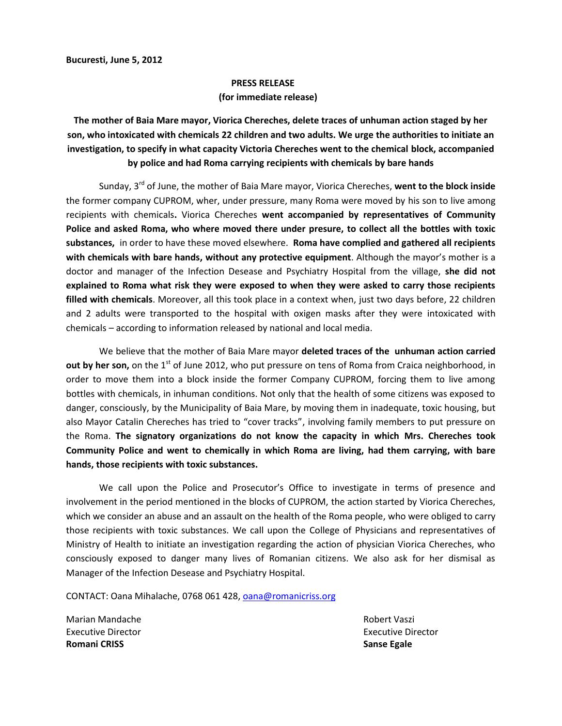## **PRESS RELEASE**

## **(for immediate release)**

## **The mother of Baia Mare mayor, Viorica Chereches, delete traces of unhuman action staged by her son, who intoxicated with chemicals 22 children and two adults. We urge the authorities to initiate an investigation, to specify in what capacity Victoria Chereches went to the chemical block, accompanied by police and had Roma carrying recipients with chemicals by bare hands**

Sunday, 3<sup>rd</sup> of June, the mother of Baia Mare mayor, Viorica Chereches, went to the block inside the former company CUPROM, wher, under pressure, many Roma were moved by his son to live among recipients with chemicals**.** Viorica Chereches **went accompanied by representatives of Community Police and asked Roma, who where moved there under presure, to collect all the bottles with toxic substances,** in order to have these moved elsewhere. **Roma have complied and gathered all recipients with chemicals with bare hands, without any protective equipment**. Although the mayor's mother is a doctor and manager of the Infection Desease and Psychiatry Hospital from the village, **she did not explained to Roma what risk they were exposed to when they were asked to carry those recipients filled with chemicals**. Moreover, all this took place in a context when, just two days before, 22 children and 2 adults were transported to the hospital with oxigen masks after they were intoxicated with chemicals – according to information released by national and local media.

We believe that the mother of Baia Mare mayor **deleted traces of the unhuman action carried out by her son,** on the 1<sup>st</sup> of June 2012, who put pressure on tens of Roma from Craica neighborhood, in order to move them into a block inside the former Company CUPROM, forcing them to live among bottles with chemicals, in inhuman conditions. Not only that the health of some citizens was exposed to danger, consciously, by the Municipality of Baia Mare, by moving them in inadequate, toxic housing, but also Mayor Catalin Chereches has tried to "cover tracks", involving family members to put pressure on the Roma. **The signatory organizations do not know the capacity in which Mrs. Chereches took Community Police and went to chemically in which Roma are living, had them carrying, with bare hands, those recipients with toxic substances.**

We call upon the Police and Prosecutor's Office to investigate in terms of presence and involvement in the period mentioned in the blocks of CUPROM, the action started by Viorica Chereches, which we consider an abuse and an assault on the health of the Roma people, who were obliged to carry those recipients with toxic substances. We call upon the College of Physicians and representatives of Ministry of Health to initiate an investigation regarding the action of physician Viorica Chereches, who consciously exposed to danger many lives of Romanian citizens. We also ask for her dismisal as Manager of the Infection Desease and Psychiatry Hospital.

CONTACT: Oana Mihalache, 0768 061 428, oana@romanicriss.org

Marian Mandache **Robert Vaszi** Executive Director **Executive Director** Executive Director **Romani CRISS Sanse Egale**